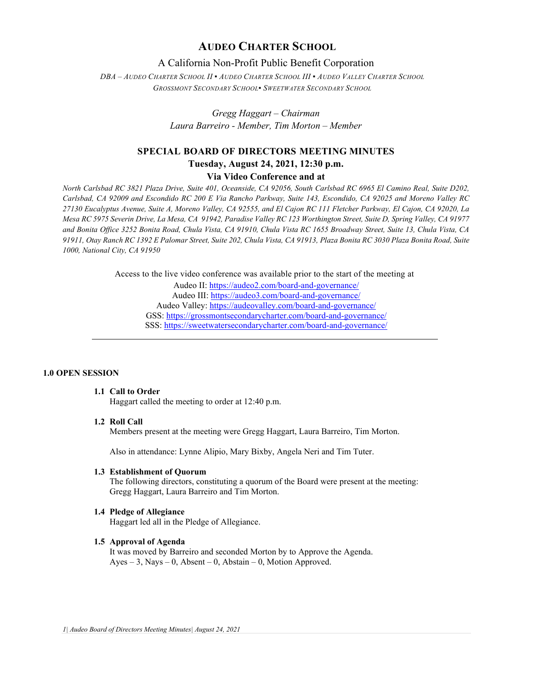# **AUDEO CHARTER SCHOOL**

# A California Non-Profit Public Benefit Corporation

*DBA – AUDEO CHARTER SCHOOL II ▪ AUDEO CHARTER SCHOOL III ▪ AUDEO VALLEY CHARTER SCHOOL GROSSMONT SECONDARY SCHOOL▪ SWEETWATER SECONDARY SCHOOL*

> *Gregg Haggart – Chairman Laura Barreiro - Member, Tim Morton – Member*

# **SPECIAL BOARD OF DIRECTORS MEETING MINUTES Tuesday, August 24, 2021, 12:30 p.m. Via Video Conference and at**

*North Carlsbad RC 3821 Plaza Drive, Suite 401, Oceanside, CA 92056, South Carlsbad RC 6965 El Camino Real, Suite D202, Carlsbad, CA 92009 and Escondido RC 200 E Via Rancho Parkway, Suite 143, Escondido, CA 92025 and Moreno Valley RC 27130 Eucalyptus Avenue, Suite A, Moreno Valley, CA 92555, and El Cajon RC 111 Fletcher Parkway, El Cajon, CA 92020, La Mesa RC 5975 Severin Drive, La Mesa, CA 91942, Paradise Valley RC 123 Worthington Street, Suite D, Spring Valley, CA 91977 and Bonita Office 3252 Bonita Road, Chula Vista, CA 91910, Chula Vista RC 1655 Broadway Street, Suite 13, Chula Vista, CA 91911, Otay Ranch RC 1392 E Palomar Street, Suite 202, Chula Vista, CA 91913, Plaza Bonita RC 3030 Plaza Bonita Road, Suite 1000, National City, CA 91950*

Access to the live video conference was available prior to the start of the meeting at

Audeo II[: https://audeo2.com/board-and-governance/](https://audeo2.com/board-and-governance/) Audeo III:<https://audeo3.com/board-and-governance/> Audeo Valley:<https://audeovalley.com/board-and-governance/> GSS:<https://grossmontsecondarycharter.com/board-and-governance/> SSS:<https://sweetwatersecondarycharter.com/board-and-governance/>

#### **1.0 OPEN SESSION**

# **1.1 Call to Order**

Haggart called the meeting to order at 12:40 p.m.

### **1.2 Roll Call**

Members present at the meeting were Gregg Haggart, Laura Barreiro, Tim Morton.

Also in attendance: Lynne Alipio, Mary Bixby, Angela Neri and Tim Tuter.

#### **1.3 Establishment of Quorum**

The following directors, constituting a quorum of the Board were present at the meeting: Gregg Haggart, Laura Barreiro and Tim Morton.

#### **1.4 Pledge of Allegiance**

Haggart led all in the Pledge of Allegiance.

#### **1.5 Approval of Agenda**

It was moved by Barreiro and seconded Morton by to Approve the Agenda. Ayes – 3, Nays – 0, Absent – 0, Abstain – 0, Motion Approved.